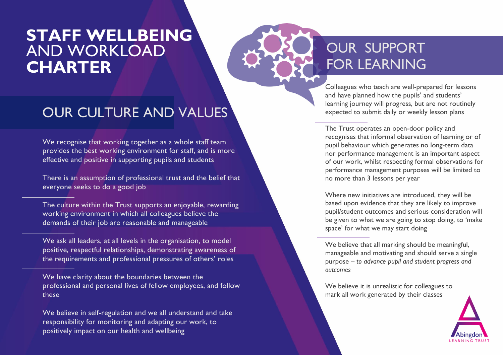# **STAFF WELLBEING** AND WORKLOAD AND WORKLOAD **CHARTER EXAMPLE 2008 TO REARNING**

Colleagues who teach are well-prepared for lessons and have planned how the pupils' and students' learning journey will progress, but are not routinely expected to submit daily or weekly lesson plans

The Trust operates an open-door policy and recognises that informal observation of learning or of pupil behaviour which generates no long-term data nor performance management is an important aspect of our work, whilst respecting formal observations for performance management purposes will be limited to no more than 3 lessons per year

Where new initiatives are introduced, they will be based upon evidence that they are likely to improve pupil/student outcomes and serious consideration will be given to what we are going to stop doing, to 'make space' for what we may start doing

We believe that all marking should be meaningful, manageable and motivating and should serve a single purpose – *to advance pupil and student progress and outcomes*

We believe it is unrealistic for colleagues to mark all work generated by their classes



### OUR CULTURE AND VALUES

We recognise that working together as a whole staff team provides the best working environment for staff, and is more effective and positive in supporting pupils and students

There is an assumption of professional trust and the belief that everyone seeks to do a good job

The culture within the Trust supports an enjoyable, rewarding working environment in which all colleagues believe the demands of their job are reasonable and manageable

We ask all leaders, at all levels in the organisation, to model positive, respectful relationships, demonstrating awareness of the requirements and professional pressures of others' roles

We have clarity about the boundaries between the professional and personal lives of fellow employees, and follow these

We believe in self-regulation and we all understand and take responsibility for monitoring and adapting our work, to positively impact on our health and wellbeing